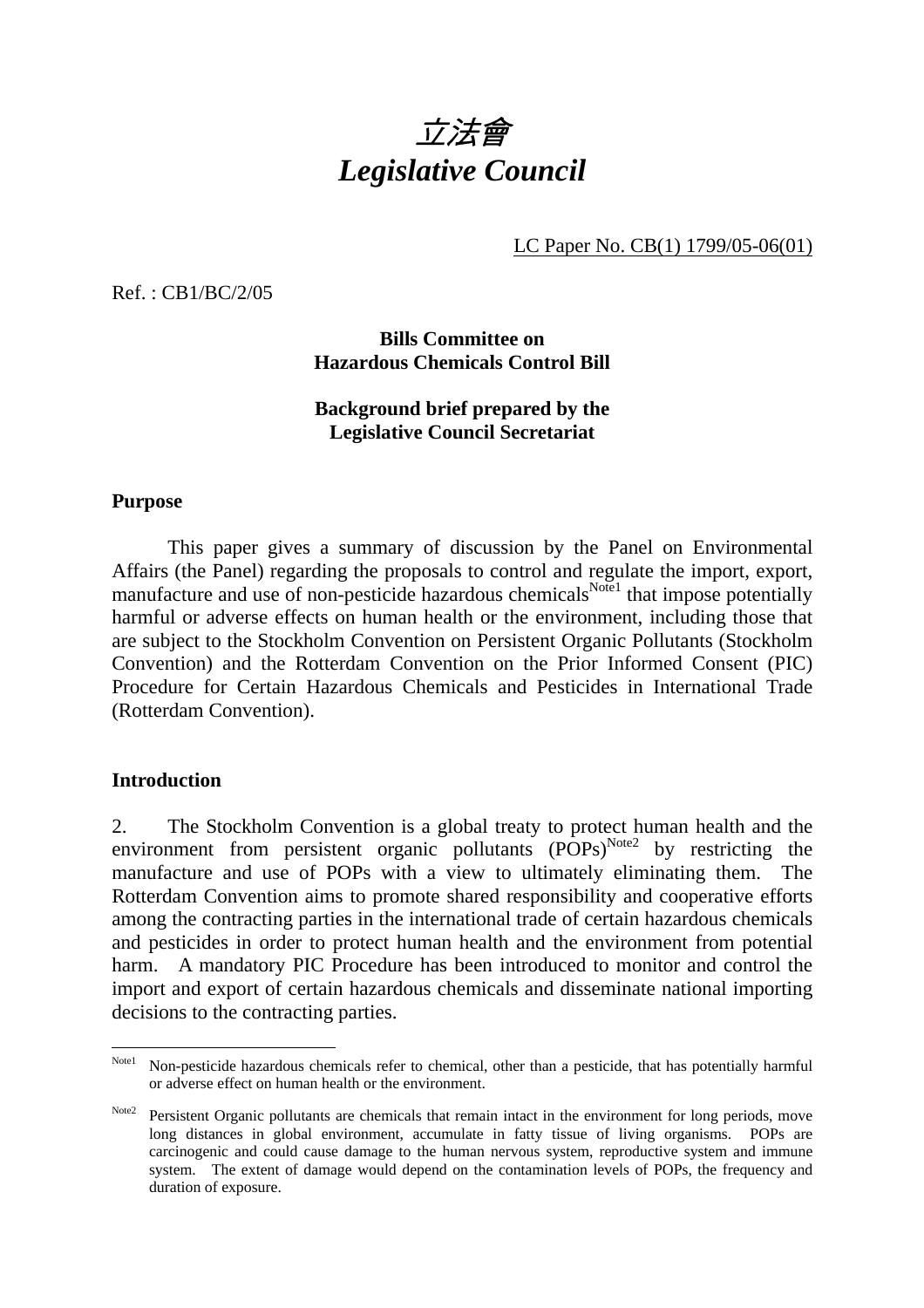

LC Paper No. CB(1) 1799/05-06(01)

Ref. : CB1/BC/2/05

**Bills Committee on Hazardous Chemicals Control Bill** 

## **Background brief prepared by the Legislative Council Secretariat**

#### **Purpose**

 This paper gives a summary of discussion by the Panel on Environmental Affairs (the Panel) regarding the proposals to control and regulate the import, export, manufacture and use of non-pesticide hazardous chemicals<sup>Note1</sup> that impose potentially harmful or adverse effects on human health or the environment, including those that are subject to the Stockholm Convention on Persistent Organic Pollutants (Stockholm Convention) and the Rotterdam Convention on the Prior Informed Consent (PIC) Procedure for Certain Hazardous Chemicals and Pesticides in International Trade (Rotterdam Convention).

### **Introduction**

2. The Stockholm Convention is a global treaty to protect human health and the environment from persistent organic pollutants  $(POPs)^{Note2}$  by restricting the manufacture and use of POPs with a view to ultimately eliminating them. The Rotterdam Convention aims to promote shared responsibility and cooperative efforts among the contracting parties in the international trade of certain hazardous chemicals and pesticides in order to protect human health and the environment from potential harm. A mandatory PIC Procedure has been introduced to monitor and control the import and export of certain hazardous chemicals and disseminate national importing decisions to the contracting parties.

Note 1 Non-pesticide hazardous chemicals refer to chemical, other than a pesticide, that has potentially harmful or adverse effect on human health or the environment.

Note2 Persistent Organic pollutants are chemicals that remain intact in the environment for long periods, move long distances in global environment, accumulate in fatty tissue of living organisms. POPs are carcinogenic and could cause damage to the human nervous system, reproductive system and immune system. The extent of damage would depend on the contamination levels of POPs, the frequency and duration of exposure.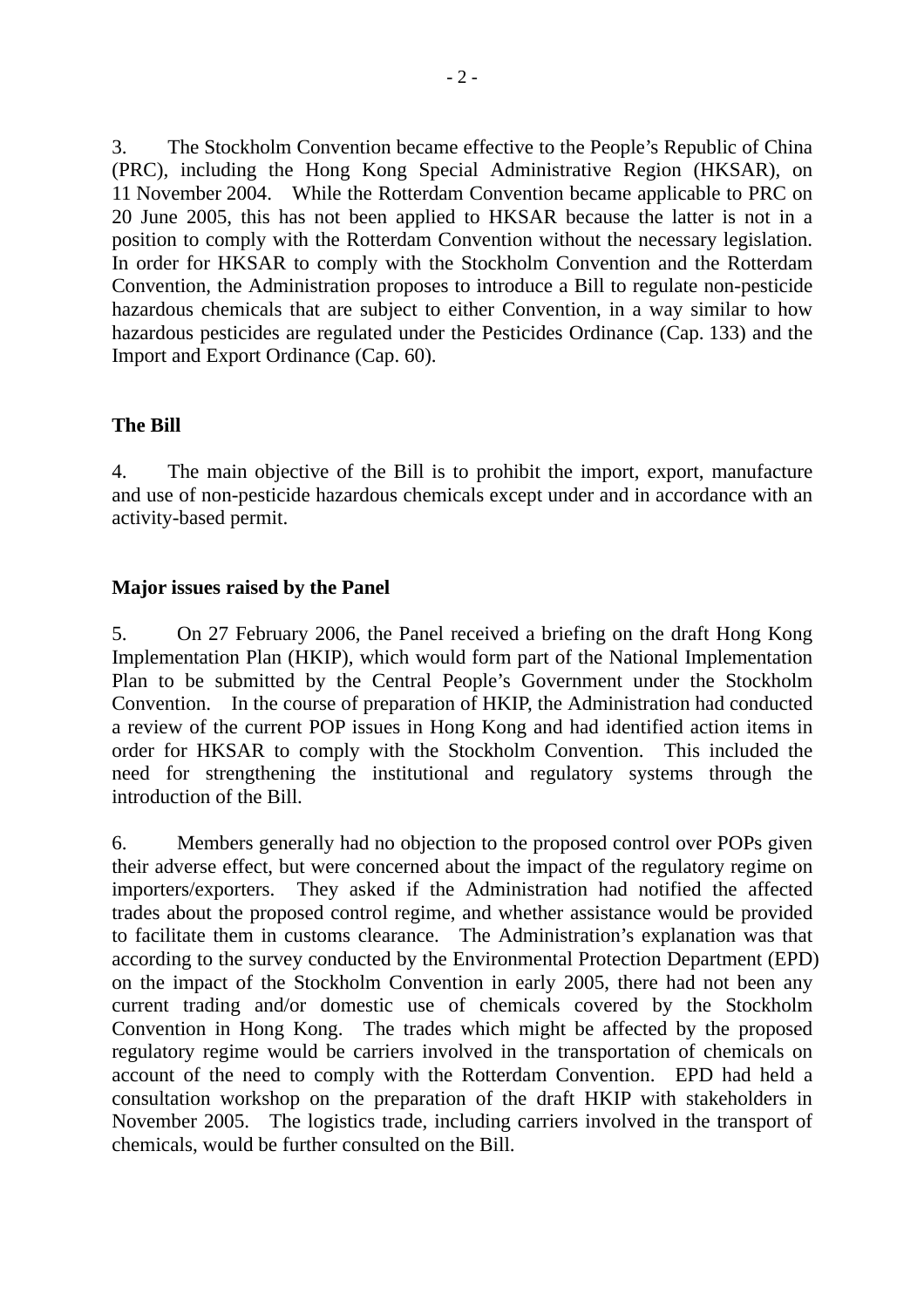3. The Stockholm Convention became effective to the People's Republic of China (PRC), including the Hong Kong Special Administrative Region (HKSAR), on 11 November 2004. While the Rotterdam Convention became applicable to PRC on 20 June 2005, this has not been applied to HKSAR because the latter is not in a position to comply with the Rotterdam Convention without the necessary legislation. In order for HKSAR to comply with the Stockholm Convention and the Rotterdam Convention, the Administration proposes to introduce a Bill to regulate non-pesticide hazardous chemicals that are subject to either Convention, in a way similar to how hazardous pesticides are regulated under the Pesticides Ordinance (Cap. 133) and the Import and Export Ordinance (Cap. 60).

### **The Bill**

4. The main objective of the Bill is to prohibit the import, export, manufacture and use of non-pesticide hazardous chemicals except under and in accordance with an activity-based permit.

# **Major issues raised by the Panel**

5. On 27 February 2006, the Panel received a briefing on the draft Hong Kong Implementation Plan (HKIP), which would form part of the National Implementation Plan to be submitted by the Central People's Government under the Stockholm Convention. In the course of preparation of HKIP, the Administration had conducted a review of the current POP issues in Hong Kong and had identified action items in order for HKSAR to comply with the Stockholm Convention. This included the need for strengthening the institutional and regulatory systems through the introduction of the Bill.

6. Members generally had no objection to the proposed control over POPs given their adverse effect, but were concerned about the impact of the regulatory regime on importers/exporters. They asked if the Administration had notified the affected trades about the proposed control regime, and whether assistance would be provided to facilitate them in customs clearance. The Administration's explanation was that according to the survey conducted by the Environmental Protection Department (EPD) on the impact of the Stockholm Convention in early 2005, there had not been any current trading and/or domestic use of chemicals covered by the Stockholm Convention in Hong Kong. The trades which might be affected by the proposed regulatory regime would be carriers involved in the transportation of chemicals on account of the need to comply with the Rotterdam Convention. EPD had held a consultation workshop on the preparation of the draft HKIP with stakeholders in November 2005. The logistics trade, including carriers involved in the transport of chemicals, would be further consulted on the Bill.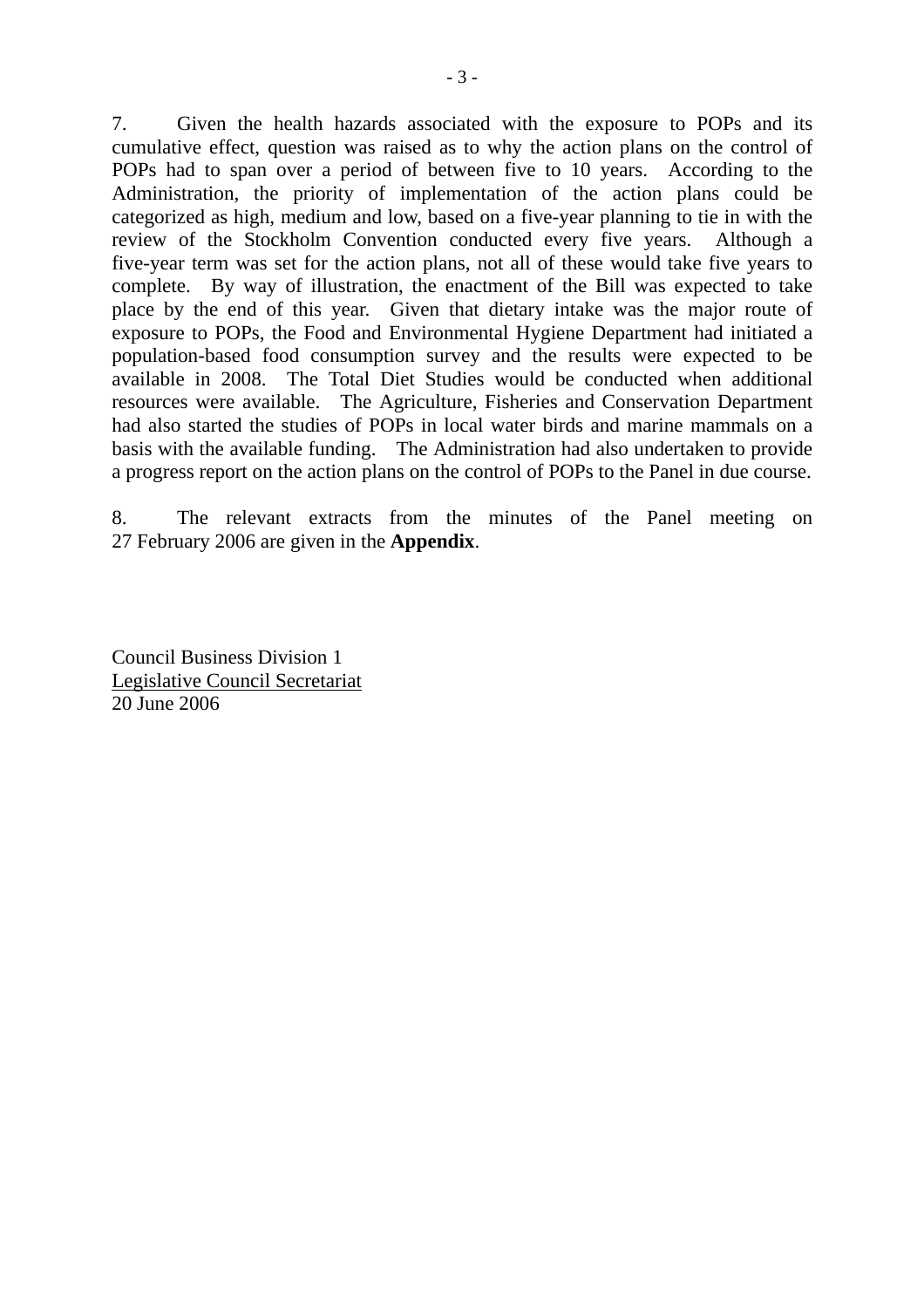7. Given the health hazards associated with the exposure to POPs and its cumulative effect, question was raised as to why the action plans on the control of POPs had to span over a period of between five to 10 years. According to the Administration, the priority of implementation of the action plans could be categorized as high, medium and low, based on a five-year planning to tie in with the review of the Stockholm Convention conducted every five years. Although a five-year term was set for the action plans, not all of these would take five years to complete. By way of illustration, the enactment of the Bill was expected to take place by the end of this year. Given that dietary intake was the major route of exposure to POPs, the Food and Environmental Hygiene Department had initiated a population-based food consumption survey and the results were expected to be available in 2008. The Total Diet Studies would be conducted when additional resources were available. The Agriculture, Fisheries and Conservation Department had also started the studies of POPs in local water birds and marine mammals on a basis with the available funding. The Administration had also undertaken to provide a progress report on the action plans on the control of POPs to the Panel in due course.

8. The relevant extracts from the minutes of the Panel meeting on 27 February 2006 are given in the **Appendix**.

Council Business Division 1 Legislative Council Secretariat 20 June 2006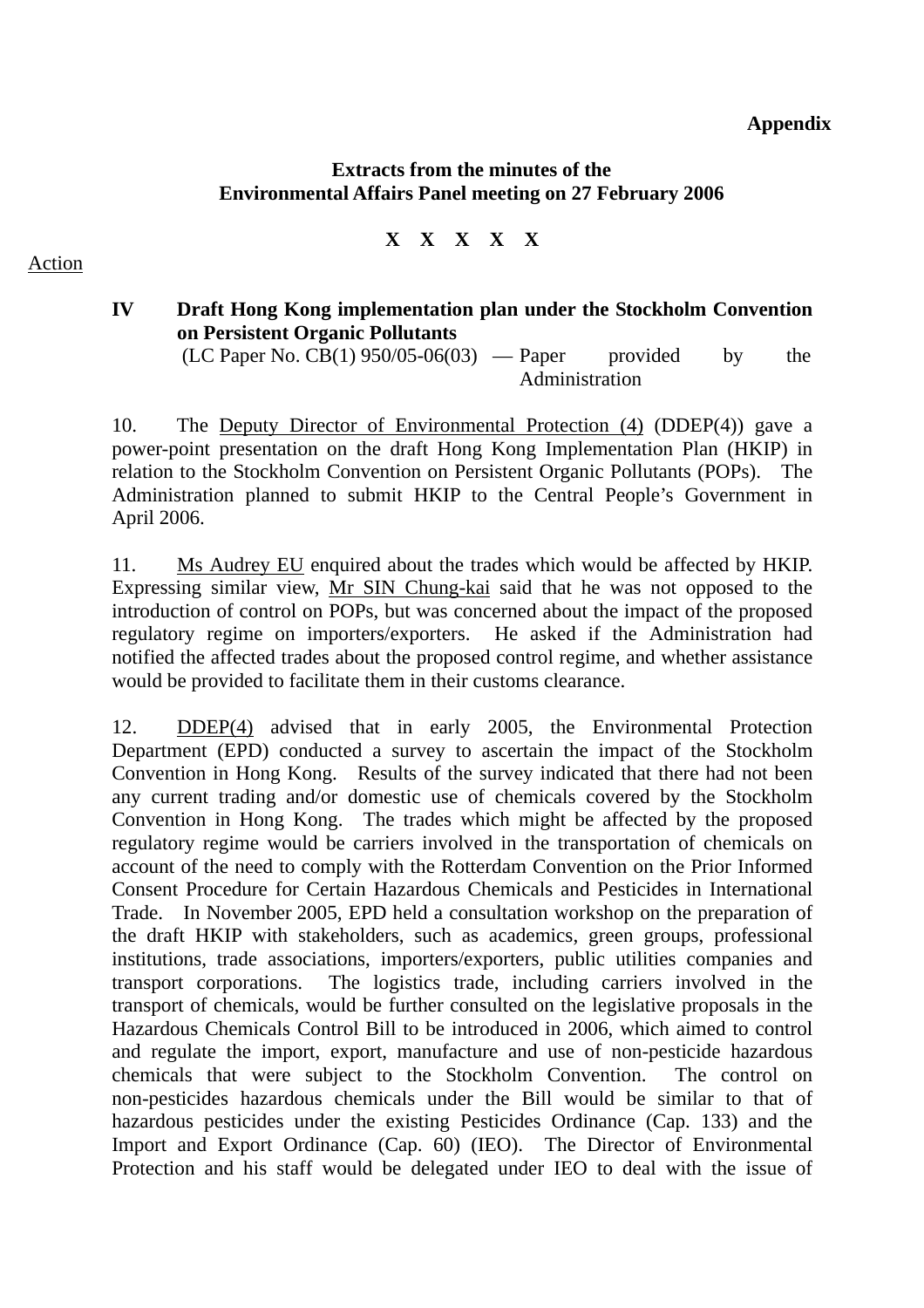### **Appendix**

### **Extracts from the minutes of the Environmental Affairs Panel meeting on 27 February 2006**

**X X X X X** 

# **IV Draft Hong Kong implementation plan under the Stockholm Convention on Persistent Organic Pollutants**

 $(LC$  Paper No.  $CB(1)$  950/05-06(03) — Paper provided by the Administration

10. The Deputy Director of Environmental Protection (4) (DDEP(4)) gave a power-point presentation on the draft Hong Kong Implementation Plan (HKIP) in relation to the Stockholm Convention on Persistent Organic Pollutants (POPs). The Administration planned to submit HKIP to the Central People's Government in April 2006.

11. Ms Audrey EU enquired about the trades which would be affected by HKIP. Expressing similar view, Mr SIN Chung-kai said that he was not opposed to the introduction of control on POPs, but was concerned about the impact of the proposed regulatory regime on importers/exporters. He asked if the Administration had notified the affected trades about the proposed control regime, and whether assistance would be provided to facilitate them in their customs clearance.

12. DDEP(4) advised that in early 2005, the Environmental Protection Department (EPD) conducted a survey to ascertain the impact of the Stockholm Convention in Hong Kong. Results of the survey indicated that there had not been any current trading and/or domestic use of chemicals covered by the Stockholm Convention in Hong Kong. The trades which might be affected by the proposed regulatory regime would be carriers involved in the transportation of chemicals on account of the need to comply with the Rotterdam Convention on the Prior Informed Consent Procedure for Certain Hazardous Chemicals and Pesticides in International Trade. In November 2005, EPD held a consultation workshop on the preparation of the draft HKIP with stakeholders, such as academics, green groups, professional institutions, trade associations, importers/exporters, public utilities companies and transport corporations. The logistics trade, including carriers involved in the transport of chemicals, would be further consulted on the legislative proposals in the Hazardous Chemicals Control Bill to be introduced in 2006, which aimed to control and regulate the import, export, manufacture and use of non-pesticide hazardous chemicals that were subject to the Stockholm Convention. The control on non-pesticides hazardous chemicals under the Bill would be similar to that of hazardous pesticides under the existing Pesticides Ordinance (Cap. 133) and the Import and Export Ordinance (Cap. 60) (IEO). The Director of Environmental Protection and his staff would be delegated under IEO to deal with the issue of

Action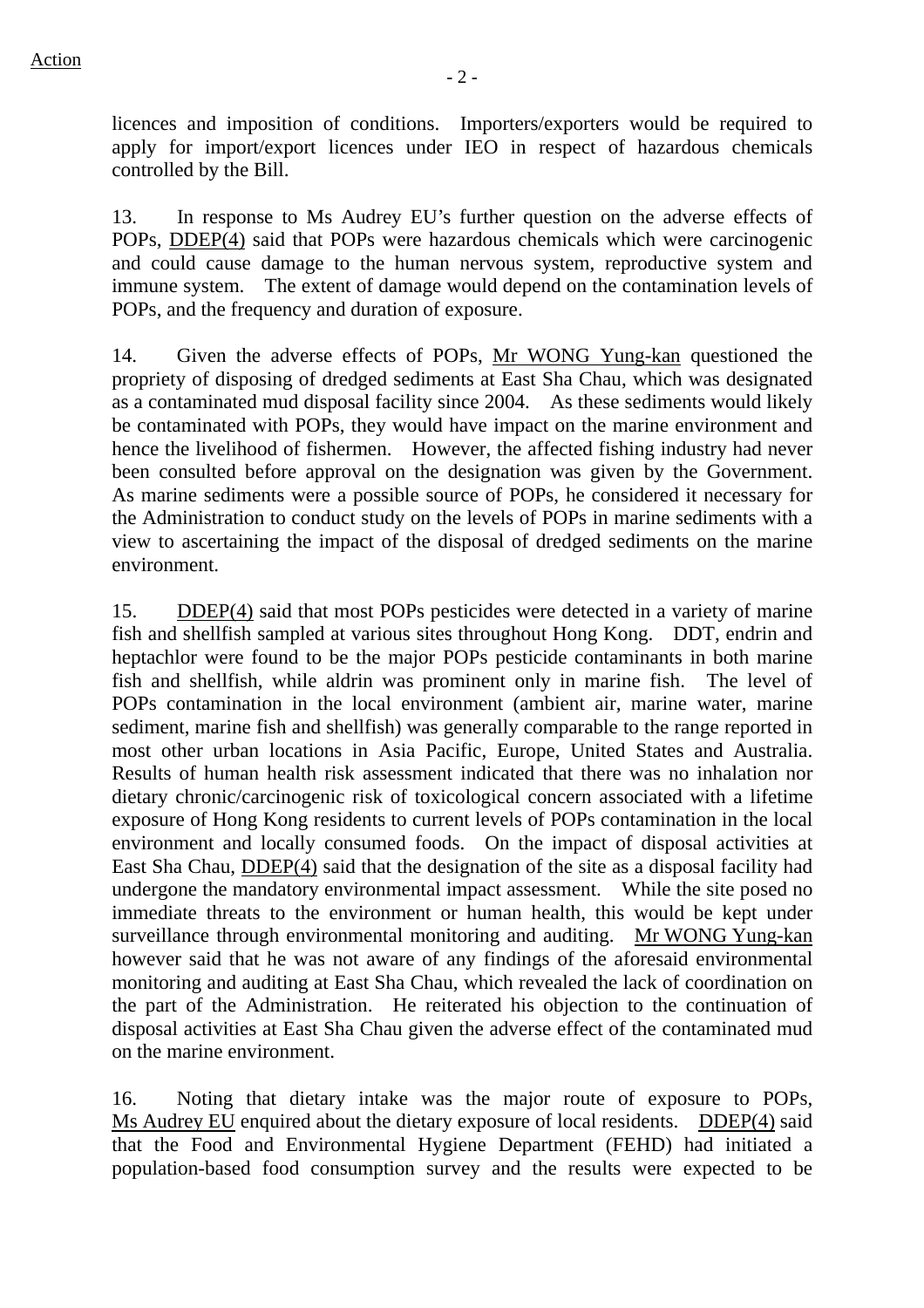licences and imposition of conditions. Importers/exporters would be required to apply for import/export licences under IEO in respect of hazardous chemicals controlled by the Bill.

13. In response to Ms Audrey EU's further question on the adverse effects of POPs, DDEP(4) said that POPs were hazardous chemicals which were carcinogenic and could cause damage to the human nervous system, reproductive system and immune system. The extent of damage would depend on the contamination levels of POPs, and the frequency and duration of exposure.

14. Given the adverse effects of POPs, Mr WONG Yung-kan questioned the propriety of disposing of dredged sediments at East Sha Chau, which was designated as a contaminated mud disposal facility since 2004. As these sediments would likely be contaminated with POPs, they would have impact on the marine environment and hence the livelihood of fishermen. However, the affected fishing industry had never been consulted before approval on the designation was given by the Government. As marine sediments were a possible source of POPs, he considered it necessary for the Administration to conduct study on the levels of POPs in marine sediments with a view to ascertaining the impact of the disposal of dredged sediments on the marine environment.

15. DDEP(4) said that most POPs pesticides were detected in a variety of marine fish and shellfish sampled at various sites throughout Hong Kong. DDT, endrin and heptachlor were found to be the major POPs pesticide contaminants in both marine fish and shellfish, while aldrin was prominent only in marine fish. The level of POPs contamination in the local environment (ambient air, marine water, marine sediment, marine fish and shellfish) was generally comparable to the range reported in most other urban locations in Asia Pacific, Europe, United States and Australia. Results of human health risk assessment indicated that there was no inhalation nor dietary chronic/carcinogenic risk of toxicological concern associated with a lifetime exposure of Hong Kong residents to current levels of POPs contamination in the local environment and locally consumed foods. On the impact of disposal activities at East Sha Chau, DDEP(4) said that the designation of the site as a disposal facility had undergone the mandatory environmental impact assessment. While the site posed no immediate threats to the environment or human health, this would be kept under surveillance through environmental monitoring and auditing. Mr WONG Yung-kan however said that he was not aware of any findings of the aforesaid environmental monitoring and auditing at East Sha Chau, which revealed the lack of coordination on the part of the Administration. He reiterated his objection to the continuation of disposal activities at East Sha Chau given the adverse effect of the contaminated mud on the marine environment.

16. Noting that dietary intake was the major route of exposure to POPs, Ms Audrey EU enquired about the dietary exposure of local residents. DDEP(4) said that the Food and Environmental Hygiene Department (FEHD) had initiated a population-based food consumption survey and the results were expected to be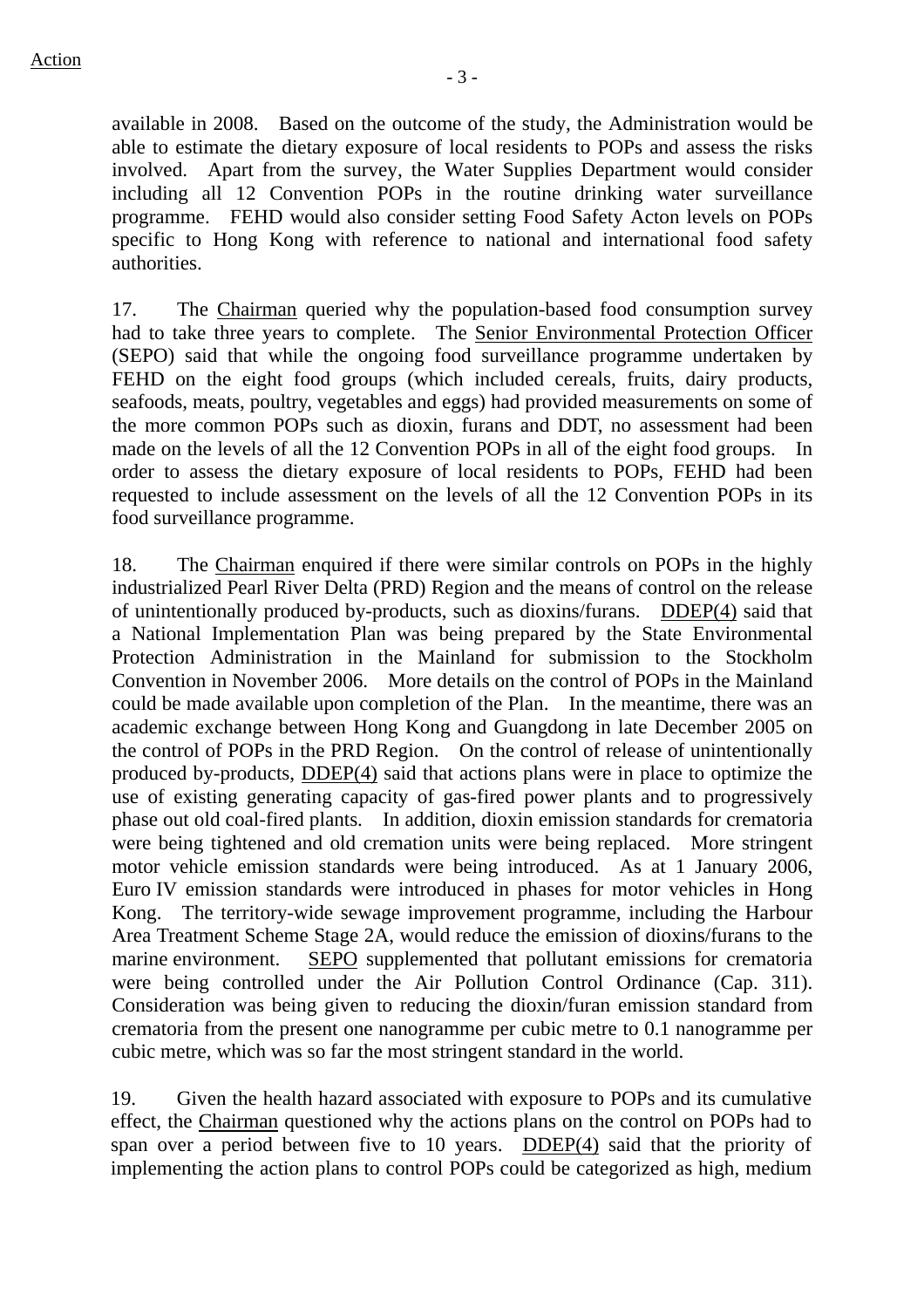available in 2008. Based on the outcome of the study, the Administration would be able to estimate the dietary exposure of local residents to POPs and assess the risks involved. Apart from the survey, the Water Supplies Department would consider including all 12 Convention POPs in the routine drinking water surveillance programme. FEHD would also consider setting Food Safety Acton levels on POPs specific to Hong Kong with reference to national and international food safety authorities.

17. The Chairman queried why the population-based food consumption survey had to take three years to complete. The Senior Environmental Protection Officer (SEPO) said that while the ongoing food surveillance programme undertaken by FEHD on the eight food groups (which included cereals, fruits, dairy products, seafoods, meats, poultry, vegetables and eggs) had provided measurements on some of the more common POPs such as dioxin, furans and DDT, no assessment had been made on the levels of all the 12 Convention POPs in all of the eight food groups. In order to assess the dietary exposure of local residents to POPs, FEHD had been requested to include assessment on the levels of all the 12 Convention POPs in its food surveillance programme.

18. The Chairman enquired if there were similar controls on POPs in the highly industrialized Pearl River Delta (PRD) Region and the means of control on the release of unintentionally produced by-products, such as dioxins/furans. DDEP(4) said that a National Implementation Plan was being prepared by the State Environmental Protection Administration in the Mainland for submission to the Stockholm Convention in November 2006. More details on the control of POPs in the Mainland could be made available upon completion of the Plan. In the meantime, there was an academic exchange between Hong Kong and Guangdong in late December 2005 on the control of POPs in the PRD Region. On the control of release of unintentionally produced by-products, DDEP(4) said that actions plans were in place to optimize the use of existing generating capacity of gas-fired power plants and to progressively phase out old coal-fired plants. In addition, dioxin emission standards for crematoria were being tightened and old cremation units were being replaced. More stringent motor vehicle emission standards were being introduced. As at 1 January 2006, Euro IV emission standards were introduced in phases for motor vehicles in Hong Kong. The territory-wide sewage improvement programme, including the Harbour Area Treatment Scheme Stage 2A, would reduce the emission of dioxins/furans to the marine environment. SEPO supplemented that pollutant emissions for crematoria were being controlled under the Air Pollution Control Ordinance (Cap. 311). Consideration was being given to reducing the dioxin/furan emission standard from crematoria from the present one nanogramme per cubic metre to 0.1 nanogramme per cubic metre, which was so far the most stringent standard in the world.

19. Given the health hazard associated with exposure to POPs and its cumulative effect, the Chairman questioned why the actions plans on the control on POPs had to span over a period between five to 10 years. DDEP(4) said that the priority of implementing the action plans to control POPs could be categorized as high, medium